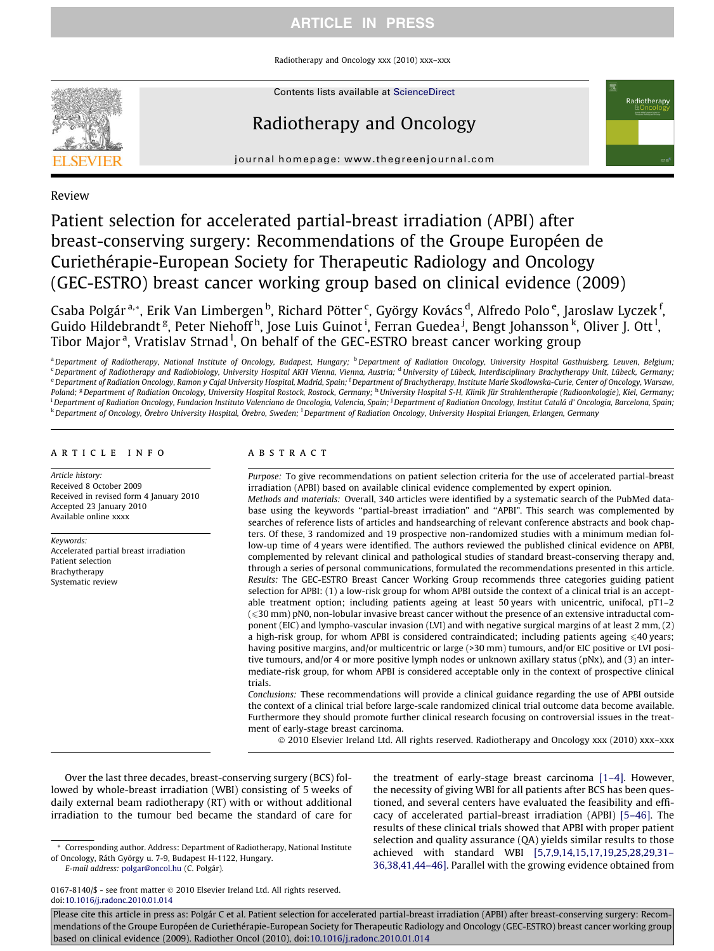Radiotherapy and Oncology xxx (2010) xxx–xxx



Contents lists available at [ScienceDirect](http://www.sciencedirect.com/science/journal/01678140)

# Radiotherapy and Oncology

journal homepage: [www.thegreenjournal.com](http://www.thegreenjournal.com)

Review

# Patient selection for accelerated partial-breast irradiation (APBI) after breast-conserving surgery: Recommendations of the Groupe Européen de Curiethérapie-European Society for Therapeutic Radiology and Oncology (GEC-ESTRO) breast cancer working group based on clinical evidence (2009)

Csaba Polgár<sup>a,</sup>\*, Erik Van Limbergen <sup>b</sup>, Richard Pötter <sup>c</sup>, György Kovács <sup>d</sup>, Alfredo Polo <sup>e</sup>, Jaroslaw Lyczek <sup>f</sup>, Guido Hildebrandt <sup>g</sup>, Peter Niehoff <sup>h</sup>, Jose Luis Guinot <sup>i</sup>, Ferran Guedea <sup>j</sup>, Bengt Johansson <sup>k</sup>, Oliver J. Ott <sup>l</sup>, Tibor Major<sup>a</sup>, Vratislav Strnad<sup>1</sup>, On behalf of the GEC-ESTRO breast cancer working group

<sup>a</sup> Department of Radiotherapy, National Institute of Oncology, Budapest, Hungary; <sup>b</sup> Department of Radiation Oncology, University Hospital Gasthuisberg, Leuven, Belgium; <sup>c</sup>Department of Radiotherapy and Radiobiology, University Hospital AKH Vienna, Vienna, Austria; <sup>d</sup>University of Lübeck, Interdisciplinary Brachytherapy Unit, Lübeck, Germany; <sup>e</sup> Department of Radiation Oncology, Ramon y Cajal University Hospital, Madrid, Spain; <sup>f</sup> Department of Brachytherapy, Institute Marie Skodlowska-Curie, Center of Oncology, Warsaw, Poland; <sup>g</sup> Department of Radiation Oncology, University Hospital Rostock, Rostock, Germany; <sup>h</sup> University Hospital S-H, Klinik für Strahlentherapie (Radioonkologie), Kiel, Germany; <sup>i</sup> Department of Radiation Oncology, Fundacion Instituto Valenciano de Oncologia, Valencia, Spain; <sup>i</sup> Department of Radiation Oncology, Institut Catalá d' Oncologia, Barcelona, Spain; <sup>k</sup> Department of Oncology, Örebro University Hospital, Örebro, Sweden; <sup>1</sup> Department of Radiation Oncology, University Hospital Erlangen, Erlangen, Germany

### article info

Article history: Received 8 October 2009 Received in revised form 4 January 2010 Accepted 23 January 2010 Available online xxxx

Keywords: Accelerated partial breast irradiation Patient selection Brachytherapy Systematic review

## ABSTRACT

Purpose: To give recommendations on patient selection criteria for the use of accelerated partial-breast irradiation (APBI) based on available clinical evidence complemented by expert opinion.

Radiotherapy

Methods and materials: Overall, 340 articles were identified by a systematic search of the PubMed database using the keywords ''partial-breast irradiation" and ''APBI". This search was complemented by searches of reference lists of articles and handsearching of relevant conference abstracts and book chapters. Of these, 3 randomized and 19 prospective non-randomized studies with a minimum median follow-up time of 4 years were identified. The authors reviewed the published clinical evidence on APBI, complemented by relevant clinical and pathological studies of standard breast-conserving therapy and, through a series of personal communications, formulated the recommendations presented in this article. Results: The GEC-ESTRO Breast Cancer Working Group recommends three categories guiding patient selection for APBI: (1) a low-risk group for whom APBI outside the context of a clinical trial is an acceptable treatment option; including patients ageing at least 50 years with unicentric, unifocal, pT1–2  $(\leq 30$  mm) pN0, non-lobular invasive breast cancer without the presence of an extensive intraductal component (EIC) and lympho-vascular invasion (LVI) and with negative surgical margins of at least 2 mm, (2) a high-risk group, for whom APBI is considered contraindicated; including patients ageing  $\leq 40$  years; having positive margins, and/or multicentric or large (>30 mm) tumours, and/or EIC positive or LVI positive tumours, and/or 4 or more positive lymph nodes or unknown axillary status (pNx), and (3) an intermediate-risk group, for whom APBI is considered acceptable only in the context of prospective clinical trials.

Conclusions: These recommendations will provide a clinical guidance regarding the use of APBI outside the context of a clinical trial before large-scale randomized clinical trial outcome data become available. Furthermore they should promote further clinical research focusing on controversial issues in the treatment of early-stage breast carcinoma.

- 2010 Elsevier Ireland Ltd. All rights reserved. Radiotherapy and Oncology xxx (2010) xxx–xxx

Over the last three decades, breast-conserving surgery (BCS) followed by whole-breast irradiation (WBI) consisting of 5 weeks of daily external beam radiotherapy (RT) with or without additional irradiation to the tumour bed became the standard of care for

E-mail address: [polgar@oncol.hu](mailto:polgar@oncol.hu) (C. Polgár).

0167-8140/\$ - see front matter © 2010 Elsevier Ireland Ltd. All rights reserved. doi[:10.1016/j.radonc.2010.01.014](http://dx.doi.org/10.1016/j.radonc.2010.01.014)

the treatment of early-stage breast carcinoma [\[1–4\]](#page-7-0). However, the necessity of giving WBI for all patients after BCS has been questioned, and several centers have evaluated the feasibility and efficacy of accelerated partial-breast irradiation (APBI) [\[5–46\].](#page-7-0) The results of these clinical trials showed that APBI with proper patient selection and quality assurance (QA) yields similar results to those achieved with standard WBI [\[5,7,9,14,15,17,19,25,28,29,31–](#page-7-0) [36,38,41,44–46\].](#page-7-0) Parallel with the growing evidence obtained from

<sup>\*</sup> Corresponding author. Address: Department of Radiotherapy, National Institute of Oncology, Ráth György u. 7-9, Budapest H-1122, Hungary.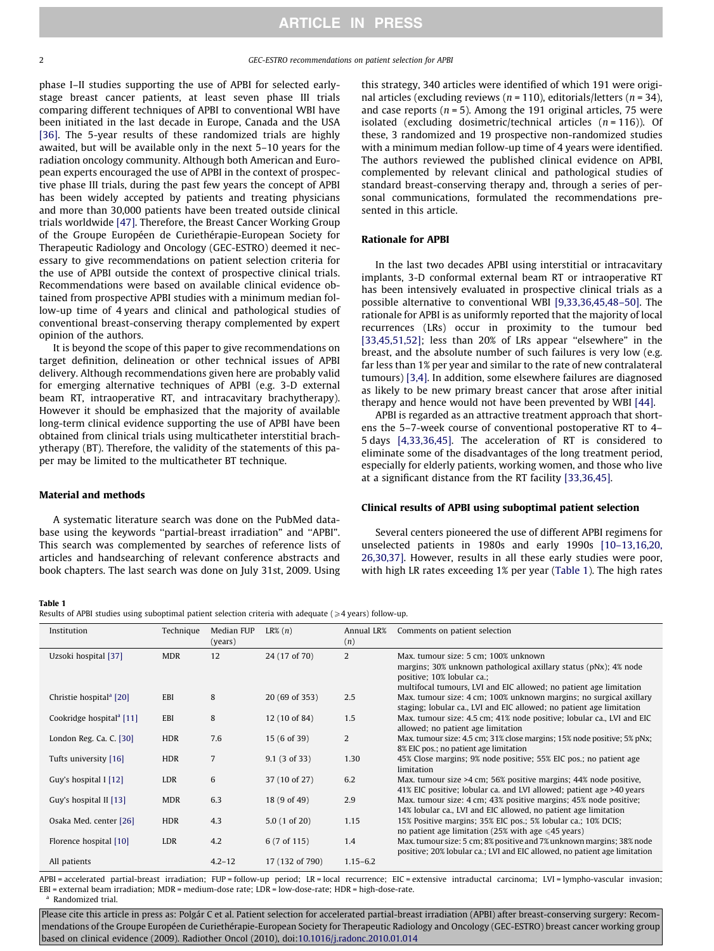<span id="page-1-0"></span>

phase I–II studies supporting the use of APBI for selected earlystage breast cancer patients, at least seven phase III trials comparing different techniques of APBI to conventional WBI have been initiated in the last decade in Europe, Canada and the USA [\[36\]](#page-8-0). The 5-year results of these randomized trials are highly awaited, but will be available only in the next 5–10 years for the radiation oncology community. Although both American and European experts encouraged the use of APBI in the context of prospective phase III trials, during the past few years the concept of APBI has been widely accepted by patients and treating physicians and more than 30,000 patients have been treated outside clinical trials worldwide [\[47\].](#page-8-0) Therefore, the Breast Cancer Working Group of the Groupe Européen de Curiethérapie-European Society for Therapeutic Radiology and Oncology (GEC-ESTRO) deemed it necessary to give recommendations on patient selection criteria for the use of APBI outside the context of prospective clinical trials. Recommendations were based on available clinical evidence obtained from prospective APBI studies with a minimum median follow-up time of 4 years and clinical and pathological studies of conventional breast-conserving therapy complemented by expert opinion of the authors.

It is beyond the scope of this paper to give recommendations on target definition, delineation or other technical issues of APBI delivery. Although recommendations given here are probably valid for emerging alternative techniques of APBI (e.g. 3-D external beam RT, intraoperative RT, and intracavitary brachytherapy). However it should be emphasized that the majority of available long-term clinical evidence supporting the use of APBI have been obtained from clinical trials using multicatheter interstitial brachytherapy (BT). Therefore, the validity of the statements of this paper may be limited to the multicatheter BT technique.

### Material and methods

A systematic literature search was done on the PubMed database using the keywords ''partial-breast irradiation" and ''APBI". This search was complemented by searches of reference lists of articles and handsearching of relevant conference abstracts and book chapters. The last search was done on July 31st, 2009. Using

this strategy, 340 articles were identified of which 191 were original articles (excluding reviews ( $n = 110$ ), editorials/letters ( $n = 34$ ), and case reports ( $n = 5$ ). Among the 191 original articles, 75 were isolated (excluding dosimetric/technical articles  $(n = 116)$ ). Of these, 3 randomized and 19 prospective non-randomized studies with a minimum median follow-up time of 4 years were identified. The authors reviewed the published clinical evidence on APBI, complemented by relevant clinical and pathological studies of standard breast-conserving therapy and, through a series of personal communications, formulated the recommendations presented in this article.

### Rationale for APBI

In the last two decades APBI using interstitial or intracavitary implants, 3-D conformal external beam RT or intraoperative RT has been intensively evaluated in prospective clinical trials as a possible alternative to conventional WBI [\[9,33,36,45,48–50\].](#page-7-0) The rationale for APBI is as uniformly reported that the majority of local recurrences (LRs) occur in proximity to the tumour bed [\[33,45,51,52\]](#page-8-0); less than 20% of LRs appear "elsewhere" in the breast, and the absolute number of such failures is very low (e.g. far less than 1% per year and similar to the rate of new contralateral tumours) [\[3,4\]](#page-7-0). In addition, some elsewhere failures are diagnosed as likely to be new primary breast cancer that arose after initial therapy and hence would not have been prevented by WBI [\[44\]](#page-8-0).

APBI is regarded as an attractive treatment approach that shortens the 5–7-week course of conventional postoperative RT to 4– 5 days [\[4,33,36,45\].](#page-7-0) The acceleration of RT is considered to eliminate some of the disadvantages of the long treatment period, especially for elderly patients, working women, and those who live at a significant distance from the RT facility [\[33,36,45\]](#page-8-0).

#### Clinical results of APBI using suboptimal patient selection

Several centers pioneered the use of different APBI regimens for unselected patients in 1980s and early 1990s [\[10–13,16,20,](#page-7-0) [26,30,37\].](#page-7-0) However, results in all these early studies were poor, with high LR rates exceeding 1% per year (Table 1). The high rates

#### Table 1

Results of APBI studies using suboptimal patient selection criteria with adequate ( $\geqslant$  years) follow-up.

| Institution                          | Technique  | Median FUP<br>(years) | $LR\%$ $(n)$            | Annual LR%<br>(n) | Comments on patient selection                                                                                                                                                                                |
|--------------------------------------|------------|-----------------------|-------------------------|-------------------|--------------------------------------------------------------------------------------------------------------------------------------------------------------------------------------------------------------|
| Uzsoki hospital [37]                 | <b>MDR</b> | 12                    | 24 (17 of 70)           | 2                 | Max. tumour size: 5 cm; 100% unknown<br>margins; 30% unknown pathological axillary status (pNx); 4% node<br>positive; 10% lobular ca.;<br>multifocal tumours, LVI and EIC allowed; no patient age limitation |
| Christie hospital <sup>a</sup> [20]  | EBI        | 8                     | 20 (69 of 353)          | 2.5               | Max. tumour size: 4 cm; 100% unknown margins; no surgical axillary<br>staging; lobular ca., LVI and EIC allowed; no patient age limitation                                                                   |
| Cookridge hospital <sup>a</sup> [11] | EBI        | 8                     | 12 (10 of 84)           | 1.5               | Max. tumour size: 4.5 cm; 41% node positive; lobular ca., LVI and EIC<br>allowed; no patient age limitation                                                                                                  |
| London Reg. Ca. C. [30]              | <b>HDR</b> | 7.6                   | 15 (6 of 39)            | 2                 | Max. tumour size: 4.5 cm; 31% close margins; 15% node positive; 5% pNx;<br>8% EIC pos.; no patient age limitation                                                                                            |
| Tufts university [16]                | <b>HDR</b> | $\overline{7}$        | $9.1(3 \text{ of } 33)$ | 1.30              | 45% Close margins; 9% node positive; 55% EIC pos.; no patient age<br>limitation                                                                                                                              |
| Guy's hospital I [12]                | LDR        | 6                     | 37 (10 of 27)           | 6.2               | Max. tumour size >4 cm; 56% positive margins; 44% node positive,<br>41% EIC positive; lobular ca. and LVI allowed; patient age >40 years                                                                     |
| Guy's hospital II [13]               | <b>MDR</b> | 6.3                   | 18 (9 of 49)            | 2.9               | Max. tumour size: 4 cm; 43% positive margins; 45% node positive;<br>14% lobular ca., LVI and EIC allowed, no patient age limitation                                                                          |
| Osaka Med. center [26]               | <b>HDR</b> | 4.3                   | $5.0(1 \text{ of } 20)$ | 1.15              | 15% Positive margins; 35% EIC pos.; 5% lobular ca.; 10% DCIS;<br>no patient age limitation (25% with age $\leq 45$ years)                                                                                    |
| Florence hospital [10]               | <b>LDR</b> | 4.2                   | 6 (7 of 115)            | 1.4               | Max, tumour size: 5 cm; 8% positive and 7% unknown margins; 38% node<br>positive; 20% lobular ca.; LVI and EIC allowed, no patient age limitation                                                            |
| All patients                         |            | $4.2 - 12$            | 17 (132 of 790)         | $1.15 - 6.2$      |                                                                                                                                                                                                              |

APBI = accelerated partial-breast irradiation; FUP = follow-up period; LR = local recurrence; EIC = extensive intraductal carcinoma; LVI = lympho-vascular invasion; EBI = external beam irradiation; MDR = medium-dose rate; LDR = low-dose-rate; HDR = high-dose-rate.

<sup>a</sup> Randomized trial.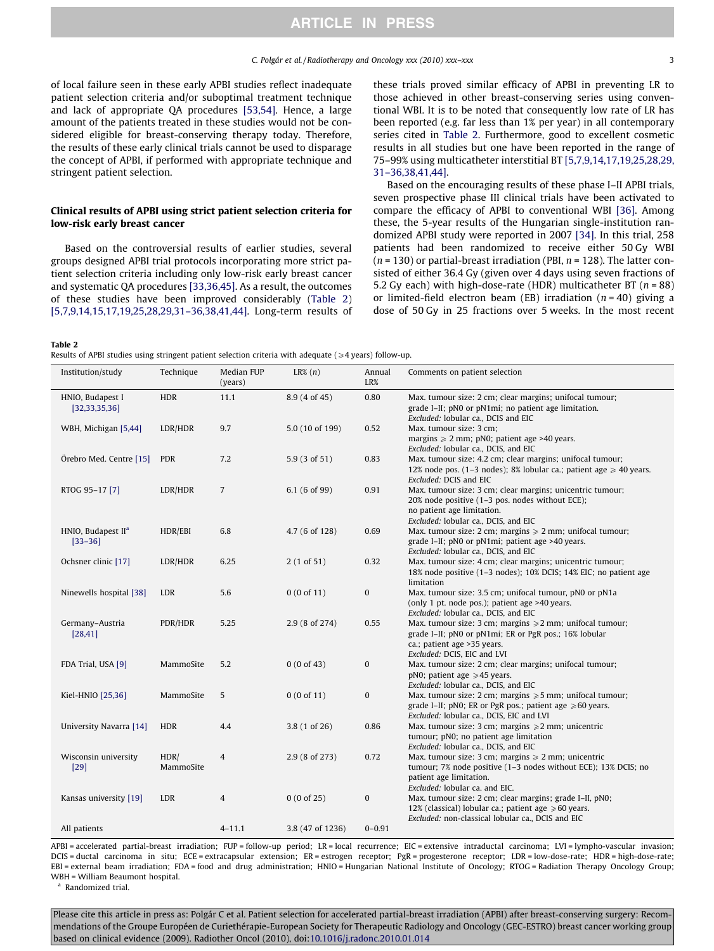<span id="page-2-0"></span>of local failure seen in these early APBI studies reflect inadequate patient selection criteria and/or suboptimal treatment technique and lack of appropriate QA procedures [\[53,54\].](#page-8-0) Hence, a large amount of the patients treated in these studies would not be considered eligible for breast-conserving therapy today. Therefore, the results of these early clinical trials cannot be used to disparage the concept of APBI, if performed with appropriate technique and stringent patient selection.

### Clinical results of APBI using strict patient selection criteria for low-risk early breast cancer

Based on the controversial results of earlier studies, several groups designed APBI trial protocols incorporating more strict patient selection criteria including only low-risk early breast cancer and systematic QA procedures [\[33,36,45\]](#page-8-0). As a result, the outcomes of these studies have been improved considerably (Table 2) [\[5,7,9,14,15,17,19,25,28,29,31–36,38,41,44\]](#page-7-0). Long-term results of these trials proved similar efficacy of APBI in preventing LR to those achieved in other breast-conserving series using conventional WBI. It is to be noted that consequently low rate of LR has been reported (e.g. far less than 1% per year) in all contemporary series cited in Table 2. Furthermore, good to excellent cosmetic results in all studies but one have been reported in the range of 75–99% using multicatheter interstitial BT [\[5,7,9,14,17,19,25,28,29,](#page-7-0) [31–36,38,41,44\].](#page-7-0)

Based on the encouraging results of these phase I–II APBI trials, seven prospective phase III clinical trials have been activated to compare the efficacy of APBI to conventional WBI [\[36\].](#page-8-0) Among these, the 5-year results of the Hungarian single-institution randomized APBI study were reported in 2007 [\[34\].](#page-8-0) In this trial, 258 patients had been randomized to receive either 50 Gy WBI  $(n = 130)$  or partial-breast irradiation (PBI,  $n = 128$ ). The latter consisted of either 36.4 Gy (given over 4 days using seven fractions of 5.2 Gy each) with high-dose-rate (HDR) multicatheter BT ( $n = 88$ ) or limited-field electron beam (EB) irradiation ( $n = 40$ ) giving a dose of 50 Gy in 25 fractions over 5 weeks. In the most recent

Table 2

Results of APBI studies using stringent patient selection criteria with adequate ( $\geq 4$  years) follow-up.

| Institution/study                             | Technique         | Median FUP<br>(years) | $LR\%$ $(n)$            | Annual<br>LR%    | Comments on patient selection                                                                                                                                                          |
|-----------------------------------------------|-------------------|-----------------------|-------------------------|------------------|----------------------------------------------------------------------------------------------------------------------------------------------------------------------------------------|
| HNIO, Budapest I<br>[32, 33, 35, 36]          | <b>HDR</b>        | 11.1                  | 8.9 (4 of 45)           | 0.80             | Max. tumour size: 2 cm; clear margins; unifocal tumour;<br>grade I-II; pN0 or pN1mi; no patient age limitation.<br>Excluded: lobular ca., DCIS and EIC                                 |
| WBH, Michigan [5,44]                          | LDR/HDR           | 9.7                   | 5.0 (10 of 199)         | 0.52             | Max. tumour size: 3 cm;<br>margins $\geq 2$ mm; pN0; patient age >40 years.<br>Excluded: lobular ca., DCIS, and EIC                                                                    |
| Örebro Med. Centre [15]                       | <b>PDR</b>        | 7.2                   | 5.9 (3 of 51)           | 0.83             | Max. tumour size: 4.2 cm; clear margins; unifocal tumour;<br>12% node pos. (1–3 nodes); 8% lobular ca.; patient age $\geq 40$ years.<br>Excluded: DCIS and EIC                         |
| RTOG 95-17 [7]                                | LDR/HDR           | 7                     | 6.1 (6 of 99)           | 0.91             | Max. tumour size: 3 cm; clear margins; unicentric tumour;<br>20% node positive (1-3 pos. nodes without ECE);<br>no patient age limitation.<br>Excluded: lobular ca., DCIS, and EIC     |
| HNIO, Budapest II <sup>a</sup><br>$[33 - 36]$ | HDR/EBI           | 6.8                   | 4.7 (6 of 128)          | 0.69             | Max. tumour size: 2 cm; margins $\geq 2$ mm; unifocal tumour;<br>grade I-II; pN0 or pN1mi; patient age >40 years.<br>Excluded: lobular ca., DCIS, and EIC                              |
| Ochsner clinic [17]                           | LDR/HDR           | 6.25                  | 2 (1 of 51)             | 0.32             | Max. tumour size: 4 cm; clear margins; unicentric tumour;<br>18% node positive (1-3 nodes); 10% DCIS; 14% EIC; no patient age<br>limitation                                            |
| Ninewells hospital [38]                       | LDR               | 5.6                   | $0(0 \text{ of } 11)$   | $\bf{0}$         | Max. tumour size: 3.5 cm; unifocal tumour, pN0 or pN1a<br>(only 1 pt. node pos.); patient age >40 years.<br>Excluded: lobular ca., DCIS, and EIC                                       |
| Germany-Austria<br>[28, 41]                   | PDR/HDR           | 5.25                  | 2.9 (8 of 274)          | 0.55             | Max. tumour size: 3 cm; margins $\geq 2$ mm; unifocal tumour;<br>grade I-II; pN0 or pN1mi; ER or PgR pos.; 16% lobular<br>ca.; patient age >35 years.<br>Excluded: DCIS, EIC and LVI   |
| FDA Trial, USA [9]                            | MammoSite         | 5.2                   | $0(0$ of 43)            | $\bf{0}$         | Max. tumour size: 2 cm; clear margins; unifocal tumour;<br>$pN0$ ; patient age $\geq 45$ years.<br>Excluded: lobular ca., DCIS, and EIC                                                |
| Kiel-HNIO [25,36]                             | MammoSite         | 5                     | $0(0 \text{ of } 11)$   | $\boldsymbol{0}$ | Max. tumour size: 2 cm; margins $\geqslant$ 5 mm; unifocal tumour;<br>grade I-II; pN0; ER or PgR pos.; patient age $\geq 60$ years.<br>Excluded: lobular ca., DCIS, EIC and LVI        |
| University Navarra [14]                       | <b>HDR</b>        | 4.4                   | $3.8(1 \text{ of } 26)$ | 0.86             | Max. tumour size: 3 cm; margins $\geq 2$ mm; unicentric<br>tumour; pN0; no patient age limitation<br>Excluded: lobular ca., DCIS, and EIC                                              |
| Wisconsin university<br>$[29]$                | HDR/<br>MammoSite | 4                     | 2.9 (8 of 273)          | 0.72             | Max. tumour size: 3 cm; margins $\geq 2$ mm; unicentric<br>tumour; 7% node positive (1-3 nodes without ECE); 13% DCIS; no<br>patient age limitation.<br>Excluded: lobular ca. and EIC. |
| Kansas university [19]                        | <b>LDR</b>        | 4                     | $0(0 \text{ of } 25)$   | $\boldsymbol{0}$ | Max. tumour size: 2 cm; clear margins; grade I-II, pN0;<br>12% (classical) lobular ca.; patient age $\geq 60$ years.<br>Excluded: non-classical lobular ca., DCIS and EIC              |
| All patients                                  |                   | $4 - 11.1$            | 3.8 (47 of 1236)        | $0 - 0.91$       |                                                                                                                                                                                        |

APBI = accelerated partial-breast irradiation; FUP = follow-up period; LR = local recurrence; EIC = extensive intraductal carcinoma; LVI = lympho-vascular invasion; DCIS = ductal carcinoma in situ; ECE = extracapsular extension; ER = estrogen receptor; PgR = progesterone receptor; LDR = low-dose-rate; HDR = high-dose-rate; EBI = external beam irradiation; FDA = food and drug administration; HNIO = Hungarian National Institute of Oncology; RTOG = Radiation Therapy Oncology Group; WBH = William Beaumont hospital.

<sup>a</sup> Randomized trial.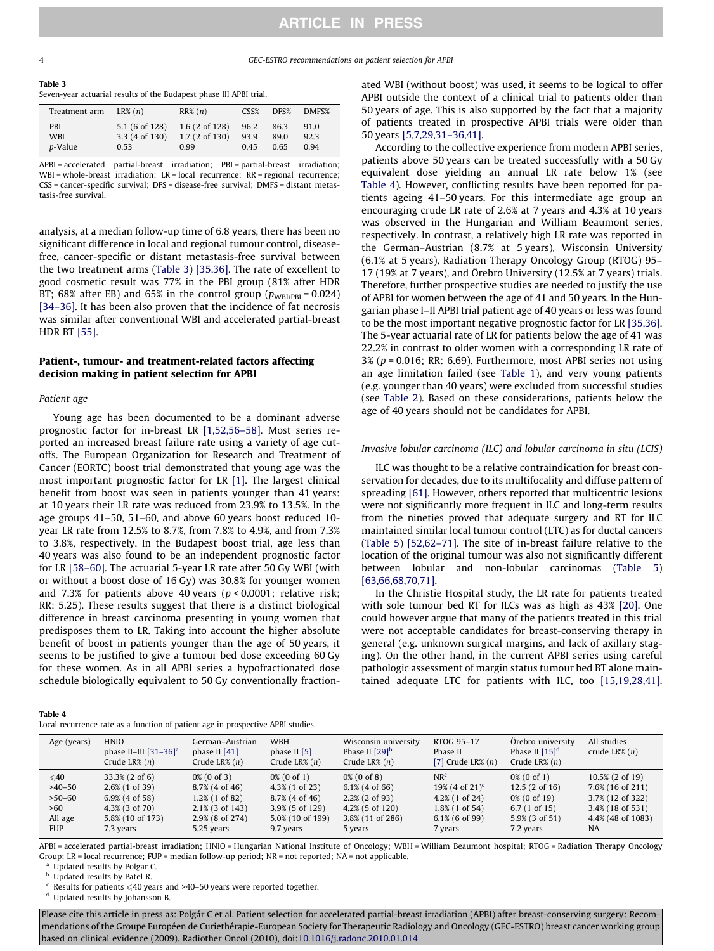<span id="page-3-0"></span>4 GEC-ESTRO recommendations on patient selection for APBI

Table 3

| Treatment arm   | $LR\%$ $(n)$   | $RR\%$ $(n)$             | CSS% | DFS% | DMFS% |
|-----------------|----------------|--------------------------|------|------|-------|
| PBI             | 5.1 (6 of 128) | $1.6(2 \text{ of } 128)$ | 96.2 | 86.3 | 91.0  |
| WBI             | 3.3 (4 of 130) | $1.7(2 \text{ of } 130)$ | 93.9 | 89.0 | 92.3  |
| <i>p</i> -Value | 0.53           | 0.99                     | 0.45 | 0.65 | 0.94  |

APBI = accelerated partial-breast irradiation; PBI = partial-breast irradiation; WBI = whole-breast irradiation; LR = local recurrence; RR = regional recurrence; CSS = cancer-specific survival; DFS = disease-free survival; DMFS = distant metastasis-free survival.

analysis, at a median follow-up time of 6.8 years, there has been no significant difference in local and regional tumour control, diseasefree, cancer-specific or distant metastasis-free survival between the two treatment arms (Table 3) [\[35,36\]](#page-8-0). The rate of excellent to good cosmetic result was 77% in the PBI group (81% after HDR BT; 68% after EB) and 65% in the control group ( $p_{\text{WBI/PHI}} = 0.024$ ) [\[34–36\]](#page-8-0). It has been also proven that the incidence of fat necrosis was similar after conventional WBI and accelerated partial-breast HDR BT [\[55\]](#page-8-0).

### Patient-, tumour- and treatment-related factors affecting decision making in patient selection for APBI

#### Patient age

Young age has been documented to be a dominant adverse prognostic factor for in-breast LR [\[1,52,56–58\]](#page-7-0). Most series reported an increased breast failure rate using a variety of age cutoffs. The European Organization for Research and Treatment of Cancer (EORTC) boost trial demonstrated that young age was the most important prognostic factor for LR [\[1\]](#page-7-0). The largest clinical benefit from boost was seen in patients younger than 41 years: at 10 years their LR rate was reduced from 23.9% to 13.5%. In the age groups 41–50, 51–60, and above 60 years boost reduced 10 year LR rate from 12.5% to 8.7%, from 7.8% to 4.9%, and from 7.3% to 3.8%, respectively. In the Budapest boost trial, age less than 40 years was also found to be an independent prognostic factor for LR [\[58–60\]](#page-8-0). The actuarial 5-year LR rate after 50 Gy WBI (with or without a boost dose of 16 Gy) was 30.8% for younger women and 7.3% for patients above 40 years ( $p < 0.0001$ ; relative risk; RR: 5.25). These results suggest that there is a distinct biological difference in breast carcinoma presenting in young women that predisposes them to LR. Taking into account the higher absolute benefit of boost in patients younger than the age of 50 years, it seems to be justified to give a tumour bed dose exceeding 60 Gy for these women. As in all APBI series a hypofractionated dose schedule biologically equivalent to 50 Gy conventionally fraction-

#### Table 4

Local recurrence rate as a function of patient age in prospective APBI studies.

ated WBI (without boost) was used, it seems to be logical to offer APBI outside the context of a clinical trial to patients older than 50 years of age. This is also supported by the fact that a majority of patients treated in prospective APBI trials were older than 50 years [\[5,7,29,31–36,41\].](#page-7-0)

According to the collective experience from modern APBI series, patients above 50 years can be treated successfully with a 50 Gy equivalent dose yielding an annual LR rate below 1% (see Table 4). However, conflicting results have been reported for patients ageing 41–50 years. For this intermediate age group an encouraging crude LR rate of 2.6% at 7 years and 4.3% at 10 years was observed in the Hungarian and William Beaumont series, respectively. In contrast, a relatively high LR rate was reported in the German–Austrian (8.7% at 5 years), Wisconsin University (6.1% at 5 years), Radiation Therapy Oncology Group (RTOG) 95– 17 (19% at 7 years), and Örebro University (12.5% at 7 years) trials. Therefore, further prospective studies are needed to justify the use of APBI for women between the age of 41 and 50 years. In the Hungarian phase I–II APBI trial patient age of 40 years or less was found to be the most important negative prognostic factor for LR [\[35,36\].](#page-8-0) The 5-year actuarial rate of LR for patients below the age of 41 was 22.2% in contrast to older women with a corresponding LR rate of  $3\%$  ( $p = 0.016$ ; RR: 6.69). Furthermore, most APBI series not using an age limitation failed (see [Table 1](#page-1-0)), and very young patients (e.g. younger than 40 years) were excluded from successful studies (see [Table 2](#page-2-0)). Based on these considerations, patients below the age of 40 years should not be candidates for APBI.

#### Invasive lobular carcinoma (ILC) and lobular carcinoma in situ (LCIS)

ILC was thought to be a relative contraindication for breast conservation for decades, due to its multifocality and diffuse pattern of spreading [\[61\].](#page-8-0) However, others reported that multicentric lesions were not significantly more frequent in ILC and long-term results from the nineties proved that adequate surgery and RT for ILC maintained similar local tumour control (LTC) as for ductal cancers ([Table 5](#page-4-0)) [\[52,62–71\]](#page-8-0). The site of in-breast failure relative to the location of the original tumour was also not significantly different between lobular and non-lobular carcinomas ([Table 5\)](#page-4-0) [\[63,66,68,70,71\].](#page-8-0)

In the Christie Hospital study, the LR rate for patients treated with sole tumour bed RT for ILCs was as high as 43% [\[20\]](#page-7-0). One could however argue that many of the patients treated in this trial were not acceptable candidates for breast-conserving therapy in general (e.g. unknown surgical margins, and lack of axillary staging). On the other hand, in the current APBI series using careful pathologic assessment of margin status tumour bed BT alone maintained adequate LTC for patients with ILC, too [\[15,19,28,41\].](#page-7-0)

|                                                                   | Local recurrence rate as a nunction or patient age in prospective <i>i</i> n bi studies.                          |                                                                                                                 |                                                                                                              |                                                                                                            |                                                                                                                         |                                                                                                                         |                                                                                                               |  |
|-------------------------------------------------------------------|-------------------------------------------------------------------------------------------------------------------|-----------------------------------------------------------------------------------------------------------------|--------------------------------------------------------------------------------------------------------------|------------------------------------------------------------------------------------------------------------|-------------------------------------------------------------------------------------------------------------------------|-------------------------------------------------------------------------------------------------------------------------|---------------------------------------------------------------------------------------------------------------|--|
| Age (years)                                                       | <b>HNIO</b><br>phase II-III $[31-36]$ <sup>a</sup><br>Crude LR% $(n)$                                             | German-Austrian<br>phase II $[41]$<br>Crude LR% $(n)$                                                           | <b>WBH</b><br>phase II [5]<br>Crude LR% $(n)$                                                                | Wisconsin university<br>Phase II $[29]$ <sup>b</sup><br>Crude LR% $(n)$                                    | RTOG 95-17<br>Phase II<br>[7] Crude LR% $(n)$                                                                           | Örebro university<br>Phase II $[15]$ <sup>d</sup><br>Crude LR% $(n)$                                                    | All studies<br>crude LR% $(n)$                                                                                |  |
| $\leq 40$<br>$>40-50$<br>$>50-60$<br>>60<br>All age<br><b>FUP</b> | $33.3\%$ (2 of 6)<br>$2.6\%$ (1 of 39)<br>$6.9\%$ (4 of 58)<br>$4.3\%$ (3 of 70)<br>5.8% (10 of 173)<br>7.3 years | $0\%$ (0 of 3)<br>8.7% (4 of 46)<br>$1.2\%$ (1 of 82)<br>$2.1\%$ (3 of 143)<br>$2.9\%$ (8 of 274)<br>5.25 years | $0\%$ (0 of 1)<br>$4.3\%$ (1 of 23)<br>8.7% (4 of 46)<br>$3.9\%$ (5 of 129)<br>5.0% (10 of 199)<br>9.7 years | $0\%$ (0 of 8)<br>$6.1\%$ (4 of 66)<br>$2.2\%$ (2 of 93)<br>4.2% (5 of 120)<br>3.8% (11 of 286)<br>5 years | NR <sup>c</sup><br>19% (4 of 21) <sup>c</sup><br>$4.2\%$ (1 of 24)<br>$1.8\%$ (1 of 54)<br>$6.1\%$ (6 of 99)<br>7 years | $0\%$ (0 of 1)<br>$12.5(2 \text{ of } 16)$<br>$0\%$ (0 of 19)<br>$6.7(1 \text{ of } 15)$<br>5.9% (3 of 51)<br>7.2 years | 10.5% (2 of 19)<br>7.6% (16 of 211)<br>3.7% (12 of 322)<br>3.4% (18 of 531)<br>4.4% (48 of 1083)<br><b>NA</b> |  |

APBI = accelerated partial-breast irradiation; HNIO = Hungarian National Institute of Oncology; WBH = William Beaumont hospital; RTOG = Radiation Therapy Oncology Group; LR = local recurrence; FUP = median follow-up period; NR = not reported; NA = not applicable.

<sup>a</sup> Updated results by Polgar C.

**b** Updated results by Patel R.

Results for patients  $\leqslant$  40 years and >40–50 years were reported together.

<sup>d</sup> Updated results by Johansson B.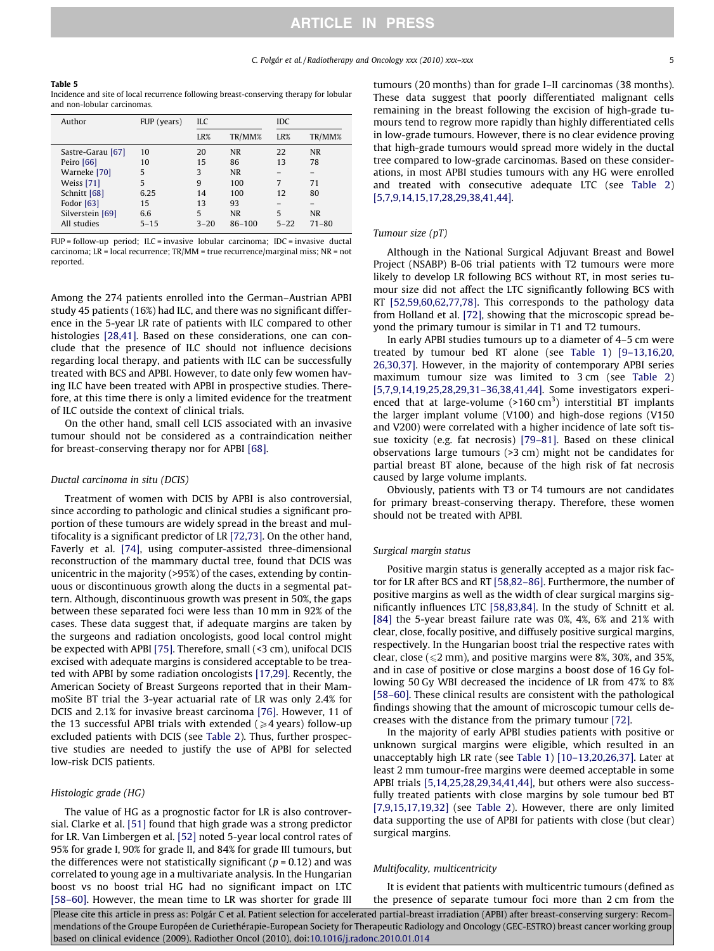#### <span id="page-4-0"></span>Table 5

Incidence and site of local recurrence following breast-conserving therapy for lobular and non-lobular carcinomas.

| Author            | FUP (years) | ILC      |           | IDC.     |           |
|-------------------|-------------|----------|-----------|----------|-----------|
|                   |             | LR%      | TR/MM%    | LR%      | TR/MM%    |
| Sastre-Garau [67] | 10          | 20       | <b>NR</b> | 22       | <b>NR</b> |
| Peiro [66]        | 10          | 15       | 86        | 13       | 78        |
| Warneke [70]      | 5           | 3        | <b>NR</b> |          |           |
| Weiss [71]        | 5           | 9        | 100       | 7        | 71        |
| Schnitt [68]      | 6.25        | 14       | 100       | 12       | 80        |
| Fodor [63]        | 15          | 13       | 93        |          |           |
| Silverstein [69]  | 6.6         | 5        | <b>NR</b> | 5        | <b>NR</b> |
| All studies       | $5 - 15$    | $3 - 20$ | 86-100    | $5 - 22$ | $71 - 80$ |

FUP = follow-up period; ILC = invasive lobular carcinoma; IDC = invasive ductal carcinoma; LR = local recurrence; TR/MM = true recurrence/marginal miss; NR = not reported.

Among the 274 patients enrolled into the German–Austrian APBI study 45 patients (16%) had ILC, and there was no significant difference in the 5-year LR rate of patients with ILC compared to other histologies [\[28,41\].](#page-8-0) Based on these considerations, one can conclude that the presence of ILC should not influence decisions regarding local therapy, and patients with ILC can be successfully treated with BCS and APBI. However, to date only few women having ILC have been treated with APBI in prospective studies. Therefore, at this time there is only a limited evidence for the treatment of ILC outside the context of clinical trials.

On the other hand, small cell LCIS associated with an invasive tumour should not be considered as a contraindication neither for breast-conserving therapy nor for APBI [\[68\]](#page-8-0).

#### Ductal carcinoma in situ (DCIS)

Treatment of women with DCIS by APBI is also controversial, since according to pathologic and clinical studies a significant proportion of these tumours are widely spread in the breast and multifocality is a significant predictor of LR [\[72,73\].](#page-8-0) On the other hand, Faverly et al. [\[74\],](#page-8-0) using computer-assisted three-dimensional reconstruction of the mammary ductal tree, found that DCIS was unicentric in the majority (>95%) of the cases, extending by continuous or discontinuous growth along the ducts in a segmental pattern. Although, discontinuous growth was present in 50%, the gaps between these separated foci were less than 10 mm in 92% of the cases. These data suggest that, if adequate margins are taken by the surgeons and radiation oncologists, good local control might be expected with APBI [\[75\]](#page-8-0). Therefore, small (<3 cm), unifocal DCIS excised with adequate margins is considered acceptable to be treated with APBI by some radiation oncologists [\[17,29\]](#page-7-0). Recently, the American Society of Breast Surgeons reported that in their MammoSite BT trial the 3-year actuarial rate of LR was only 2.4% for DCIS and 2.1% for invasive breast carcinoma [\[76\]](#page-8-0). However, 11 of the 13 successful APBI trials with extended ( $\geq 4$  years) follow-up excluded patients with DCIS (see [Table 2](#page-2-0)). Thus, further prospective studies are needed to justify the use of APBI for selected low-risk DCIS patients.

#### Histologic grade (HG)

The value of HG as a prognostic factor for LR is also controversial. Clarke et al. [\[51\]](#page-8-0) found that high grade was a strong predictor for LR. Van Limbergen et al. [\[52\]](#page-8-0) noted 5-year local control rates of 95% for grade I, 90% for grade II, and 84% for grade III tumours, but the differences were not statistically significant ( $p = 0.12$ ) and was correlated to young age in a multivariate analysis. In the Hungarian boost vs no boost trial HG had no significant impact on LTC [\[58–60\]](#page-8-0). However, the mean time to LR was shorter for grade III

tumours (20 months) than for grade I–II carcinomas (38 months). These data suggest that poorly differentiated malignant cells remaining in the breast following the excision of high-grade tumours tend to regrow more rapidly than highly differentiated cells in low-grade tumours. However, there is no clear evidence proving that high-grade tumours would spread more widely in the ductal tree compared to low-grade carcinomas. Based on these considerations, in most APBI studies tumours with any HG were enrolled and treated with consecutive adequate LTC (see [Table 2\)](#page-2-0) [\[5,7,9,14,15,17,28,29,38,41,44\].](#page-7-0)

#### Tumour size (pT)

Although in the National Surgical Adjuvant Breast and Bowel Project (NSABP) B-06 trial patients with T2 tumours were more likely to develop LR following BCS without RT, in most series tumour size did not affect the LTC significantly following BCS with RT [\[52,59,60,62,77,78\]](#page-8-0). This corresponds to the pathology data from Holland et al. [\[72\],](#page-8-0) showing that the microscopic spread beyond the primary tumour is similar in T1 and T2 tumours.

In early APBI studies tumours up to a diameter of 4–5 cm were treated by tumour bed RT alone (see [Table 1](#page-1-0)) [\[9–13,16,20,](#page-7-0) [26,30,37\].](#page-7-0) However, in the majority of contemporary APBI series maximum tumour size was limited to 3 cm (see [Table 2\)](#page-2-0) [\[5,7,9,14,19,25,28,29,31–36,38,41,44\]](#page-7-0). Some investigators experienced that at large-volume  $($ >160 cm<sup>3</sup> $)$  interstitial BT implants the larger implant volume (V100) and high-dose regions (V150 and V200) were correlated with a higher incidence of late soft tissue toxicity (e.g. fat necrosis) [\[79–81\]](#page-9-0). Based on these clinical observations large tumours (>3 cm) might not be candidates for partial breast BT alone, because of the high risk of fat necrosis caused by large volume implants.

Obviously, patients with T3 or T4 tumours are not candidates for primary breast-conserving therapy. Therefore, these women should not be treated with APBI.

#### Surgical margin status

Positive margin status is generally accepted as a major risk factor for LR after BCS and RT [\[58,82–86\]](#page-8-0). Furthermore, the number of positive margins as well as the width of clear surgical margins significantly influences LTC [\[58,83,84\]](#page-8-0). In the study of Schnitt et al. [\[84\]](#page-9-0) the 5-year breast failure rate was 0%, 4%, 6% and 21% with clear, close, focally positive, and diffusely positive surgical margins, respectively. In the Hungarian boost trial the respective rates with clear, close ( $\leq$ 2 mm), and positive margins were 8%, 30%, and 35%, and in case of positive or close margins a boost dose of 16 Gy following 50 Gy WBI decreased the incidence of LR from 47% to 8% [\[58–60\]](#page-8-0). These clinical results are consistent with the pathological findings showing that the amount of microscopic tumour cells decreases with the distance from the primary tumour [\[72\].](#page-8-0)

In the majority of early APBI studies patients with positive or unknown surgical margins were eligible, which resulted in an unacceptably high LR rate (see [Table 1](#page-1-0)) [\[10–13,20,26,37\].](#page-7-0) Later at least 2 mm tumour-free margins were deemed acceptable in some APBI trials [\[5,14,25,28,29,34,41,44\],](#page-7-0) but others were also successfully treated patients with close margins by sole tumour bed BT [\[7,9,15,17,19,32\]](#page-7-0) (see [Table 2\)](#page-2-0). However, there are only limited data supporting the use of APBI for patients with close (but clear) surgical margins.

#### Multifocality, multicentricity

It is evident that patients with multicentric tumours (defined as the presence of separate tumour foci more than 2 cm from the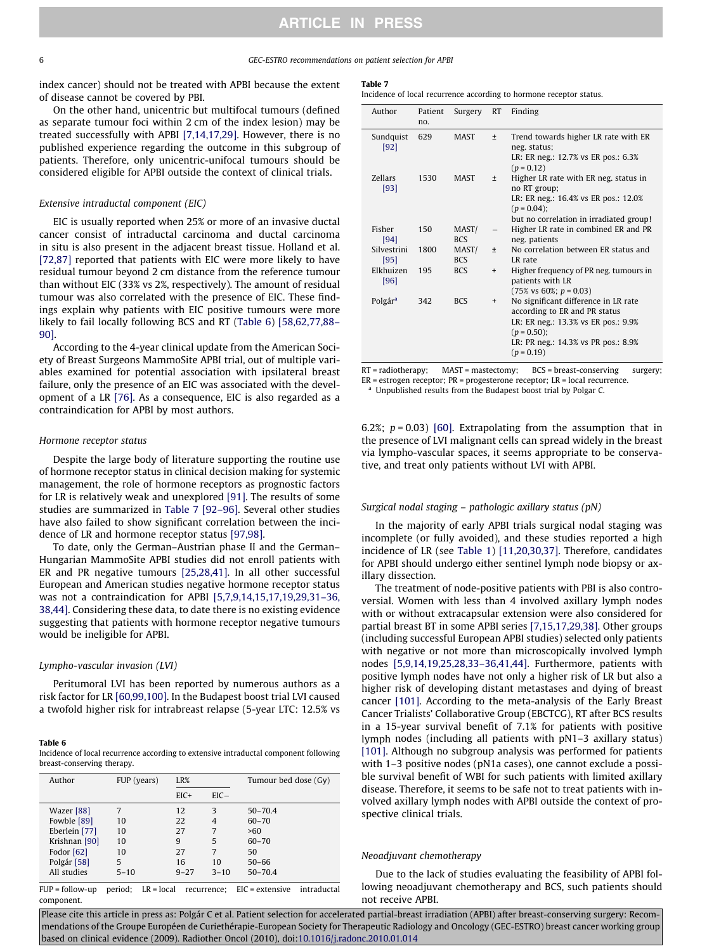6 GEC-ESTRO recommendations on patient selection for APBI

index cancer) should not be treated with APBI because the extent of disease cannot be covered by PBI.

## On the other hand, unicentric but multifocal tumours (defined as separate tumour foci within 2 cm of the index lesion) may be treated successfully with APBI [\[7,14,17,29\].](#page-7-0) However, there is no published experience regarding the outcome in this subgroup of patients. Therefore, only unicentric-unifocal tumours should be considered eligible for APBI outside the context of clinical trials.

#### Extensive intraductal component (EIC)

EIC is usually reported when 25% or more of an invasive ductal cancer consist of intraductal carcinoma and ductal carcinoma in situ is also present in the adjacent breast tissue. Holland et al. [\[72,87\]](#page-8-0) reported that patients with EIC were more likely to have residual tumour beyond 2 cm distance from the reference tumour than without EIC (33% vs 2%, respectively). The amount of residual tumour was also correlated with the presence of EIC. These findings explain why patients with EIC positive tumours were more likely to fail locally following BCS and RT (Table 6) [\[58,62,77,88–](#page-8-0) [90\]](#page-8-0).

According to the 4-year clinical update from the American Society of Breast Surgeons MammoSite APBI trial, out of multiple variables examined for potential association with ipsilateral breast failure, only the presence of an EIC was associated with the development of a LR [\[76\].](#page-8-0) As a consequence, EIC is also regarded as a contraindication for APBI by most authors.

#### Hormone receptor status

Despite the large body of literature supporting the routine use of hormone receptor status in clinical decision making for systemic management, the role of hormone receptors as prognostic factors for LR is relatively weak and unexplored [\[91\].](#page-9-0) The results of some studies are summarized in Table 7 [\[92–96\].](#page-9-0) Several other studies have also failed to show significant correlation between the incidence of LR and hormone receptor status [\[97,98\]](#page-9-0).

To date, only the German–Austrian phase II and the German– Hungarian MammoSite APBI studies did not enroll patients with ER and PR negative tumours [\[25,28,41\].](#page-8-0) In all other successful European and American studies negative hormone receptor status was not a contraindication for APBI [\[5,7,9,14,15,17,19,29,31–36,](#page-7-0) [38,44\].](#page-7-0) Considering these data, to date there is no existing evidence suggesting that patients with hormone receptor negative tumours would be ineligible for APBI.

#### Lympho-vascular invasion (LVI)

Peritumoral LVI has been reported by numerous authors as a risk factor for LR [\[60,99,100\]](#page-8-0). In the Budapest boost trial LVI caused a twofold higher risk for intrabreast relapse (5-year LTC: 12.5% vs

#### Table 6

Incidence of local recurrence according to extensive intraductal component following breast-conserving therapy.

| Author        | FUP (years) | $LR\%$   |          | Tumour bed dose (Gy) |
|---------------|-------------|----------|----------|----------------------|
|               |             | $EIC+$   | $EIC -$  |                      |
| Wazer [88]    | 7           | 12       | 3        | 50-70.4              |
| Fowble [89]   | 10          | 22       | 4        | $60 - 70$            |
| Eberlein [77] | 10          | 27       | 7        | >60                  |
| Krishnan [90] | 10          | 9        | 5        | $60 - 70$            |
| Fodor [62]    | 10          | 27       | 7        | 50                   |
| Polgár [58]   | 5           | 16       | 10       | $50 - 66$            |
| All studies   | $5 - 10$    | $9 - 27$ | $3 - 10$ | $50 - 70.4$          |

FUP = follow-up period; LR = local recurrence; EIC = extensive intraductal component.

#### Table 7

Incidence of local recurrence according to hormone receptor status.

| Author                   | Patient<br>no. | Surgery             | RT        | Finding                                                                                                                                                                               |
|--------------------------|----------------|---------------------|-----------|---------------------------------------------------------------------------------------------------------------------------------------------------------------------------------------|
| Sundquist<br>[92]        | 629            | <b>MAST</b>         | $\pm$     | Trend towards higher LR rate with ER<br>neg. status;<br>LR: ER neg.: 12.7% vs ER pos.: 6.3%<br>$(p = 0.12)$                                                                           |
| <b>Zellars</b><br>$[93]$ | 1530           | <b>MAST</b>         | $\pm$     | Higher LR rate with ER neg. status in<br>no RT group;<br>LR: ER neg.: 16.4% vs ER pos.: 12.0%<br>$(p = 0.04)$ ;<br>but no correlation in irradiated group!                            |
| Fisher<br>[94]           | 150            | MAST/<br><b>BCS</b> |           | Higher LR rate in combined ER and PR<br>neg. patients                                                                                                                                 |
| Silvestrini<br>[95]      | 1800           | MAST/<br><b>BCS</b> | $+$       | No correlation between ER status and<br>LR rate                                                                                                                                       |
| Elkhuizen<br>[96]        | 195            | <b>BCS</b>          | $\ddot{}$ | Higher frequency of PR neg. tumours in<br>patients with LR<br>$(75\% \text{ vs } 60\%; p = 0.03)$                                                                                     |
| Polgár <sup>a</sup>      | 342            | <b>BCS</b>          | $+$       | No significant difference in LR rate<br>according to ER and PR status<br>LR: ER neg.: 13.3% vs ER pos.: 9.9%<br>$(p = 0.50)$ ;<br>LR: PR neg.: 14.3% vs PR pos.: 8.9%<br>$(p = 0.19)$ |

RT = radiotherapy; MAST = mastectomy; BCS = breast-conserving surgery; ER = estrogen receptor; PR = progesterone receptor; LR = local recurrence. <sup>a</sup> Unpublished results from the Budapest boost trial by Polgar C.

6.2%;  $p = 0.03$  [\[60\]](#page-8-0). Extrapolating from the assumption that in the presence of LVI malignant cells can spread widely in the breast via lympho-vascular spaces, it seems appropriate to be conservative, and treat only patients without LVI with APBI.

### Surgical nodal staging – pathologic axillary status (pN)

In the majority of early APBI trials surgical nodal staging was incomplete (or fully avoided), and these studies reported a high incidence of LR (see [Table 1](#page-1-0)) [\[11,20,30,37\].](#page-7-0) Therefore, candidates for APBI should undergo either sentinel lymph node biopsy or axillary dissection.

The treatment of node-positive patients with PBI is also controversial. Women with less than 4 involved axillary lymph nodes with or without extracapsular extension were also considered for partial breast BT in some APBI series [\[7,15,17,29,38\].](#page-7-0) Other groups (including successful European APBI studies) selected only patients with negative or not more than microscopically involved lymph nodes [\[5,9,14,19,25,28,33–36,41,44\].](#page-7-0) Furthermore, patients with positive lymph nodes have not only a higher risk of LR but also a higher risk of developing distant metastases and dying of breast cancer [\[101\].](#page-9-0) According to the meta-analysis of the Early Breast Cancer Trialists' Collaborative Group (EBCTCG), RT after BCS results in a 15-year survival benefit of 7.1% for patients with positive lymph nodes (including all patients with pN1–3 axillary status) [\[101\].](#page-9-0) Although no subgroup analysis was performed for patients with 1–3 positive nodes (pN1a cases), one cannot exclude a possible survival benefit of WBI for such patients with limited axillary disease. Therefore, it seems to be safe not to treat patients with involved axillary lymph nodes with APBI outside the context of prospective clinical trials.

#### Neoadjuvant chemotherapy

Due to the lack of studies evaluating the feasibility of APBI following neoadjuvant chemotherapy and BCS, such patients should not receive APBI.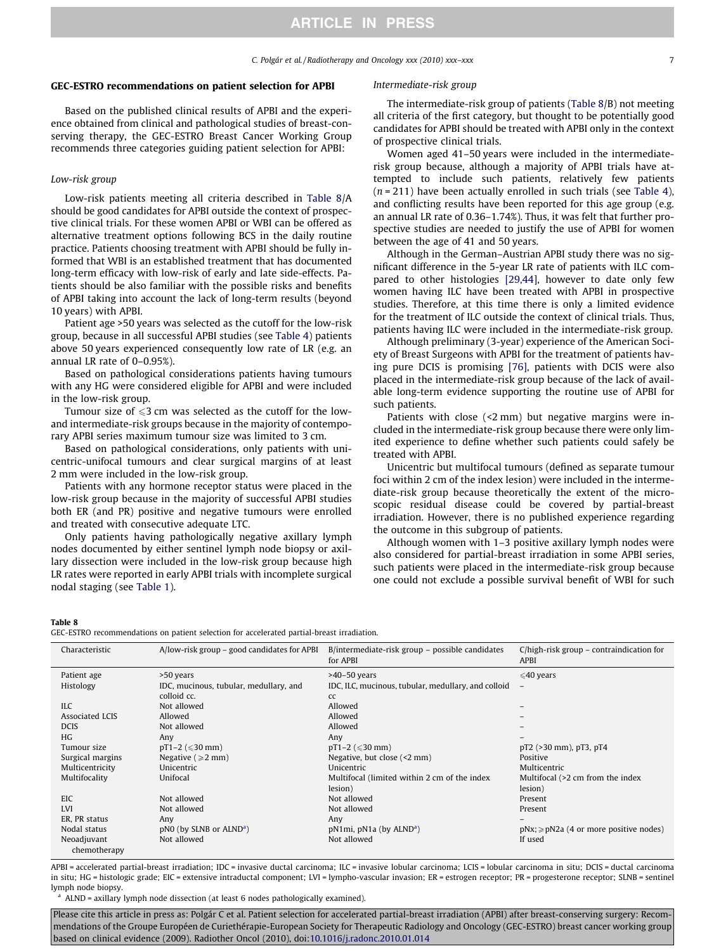#### <span id="page-6-0"></span>GEC-ESTRO recommendations on patient selection for APBI

Based on the published clinical results of APBI and the experience obtained from clinical and pathological studies of breast-conserving therapy, the GEC-ESTRO Breast Cancer Working Group recommends three categories guiding patient selection for APBI:

#### Low-risk group

Low-risk patients meeting all criteria described in Table 8/A should be good candidates for APBI outside the context of prospective clinical trials. For these women APBI or WBI can be offered as alternative treatment options following BCS in the daily routine practice. Patients choosing treatment with APBI should be fully informed that WBI is an established treatment that has documented long-term efficacy with low-risk of early and late side-effects. Patients should be also familiar with the possible risks and benefits of APBI taking into account the lack of long-term results (beyond 10 years) with APBI.

Patient age >50 years was selected as the cutoff for the low-risk group, because in all successful APBI studies (see [Table 4\)](#page-3-0) patients above 50 years experienced consequently low rate of LR (e.g. an annual LR rate of 0–0.95%).

Based on pathological considerations patients having tumours with any HG were considered eligible for APBI and were included in the low-risk group.

Tumour size of  $\leqslant$ 3 cm was selected as the cutoff for the lowand intermediate-risk groups because in the majority of contemporary APBI series maximum tumour size was limited to 3 cm.

Based on pathological considerations, only patients with unicentric-unifocal tumours and clear surgical margins of at least 2 mm were included in the low-risk group.

Patients with any hormone receptor status were placed in the low-risk group because in the majority of successful APBI studies both ER (and PR) positive and negative tumours were enrolled and treated with consecutive adequate LTC.

Only patients having pathologically negative axillary lymph nodes documented by either sentinel lymph node biopsy or axillary dissection were included in the low-risk group because high LR rates were reported in early APBI trials with incomplete surgical nodal staging (see [Table 1\)](#page-1-0).

#### Intermediate-risk group

The intermediate-risk group of patients (Table 8/B) not meeting all criteria of the first category, but thought to be potentially good candidates for APBI should be treated with APBI only in the context of prospective clinical trials.

Women aged 41–50 years were included in the intermediaterisk group because, although a majority of APBI trials have attempted to include such patients, relatively few patients  $(n = 211)$  have been actually enrolled in such trials (see [Table 4\)](#page-3-0), and conflicting results have been reported for this age group (e.g. an annual LR rate of 0.36–1.74%). Thus, it was felt that further prospective studies are needed to justify the use of APBI for women between the age of 41 and 50 years.

Although in the German–Austrian APBI study there was no significant difference in the 5-year LR rate of patients with ILC compared to other histologies [\[29,44\]](#page-8-0), however to date only few women having ILC have been treated with APBI in prospective studies. Therefore, at this time there is only a limited evidence for the treatment of ILC outside the context of clinical trials. Thus, patients having ILC were included in the intermediate-risk group.

Although preliminary (3-year) experience of the American Society of Breast Surgeons with APBI for the treatment of patients having pure DCIS is promising [\[76\],](#page-8-0) patients with DCIS were also placed in the intermediate-risk group because of the lack of available long-term evidence supporting the routine use of APBI for such patients.

Patients with close (<2 mm) but negative margins were included in the intermediate-risk group because there were only limited experience to define whether such patients could safely be treated with APBI.

Unicentric but multifocal tumours (defined as separate tumour foci within 2 cm of the index lesion) were included in the intermediate-risk group because theoretically the extent of the microscopic residual disease could be covered by partial-breast irradiation. However, there is no published experience regarding the outcome in this subgroup of patients.

Although women with 1–3 positive axillary lymph nodes were also considered for partial-breast irradiation in some APBI series, such patients were placed in the intermediate-risk group because one could not exclude a possible survival benefit of WBI for such

#### Table 8

GEC-ESTRO recommendations on patient selection for accelerated partial-breast irradiation.

| Characteristic         | A/low-risk group – good candidates for APBI | B/intermediate-risk group - possible candidates<br>for APBI | C/high-risk group – contraindication for<br>APBI    |
|------------------------|---------------------------------------------|-------------------------------------------------------------|-----------------------------------------------------|
| Patient age            | >50 years                                   | $>40-50$ years                                              | $\leqslant$ 40 years                                |
| Histology              | IDC, mucinous, tubular, medullary, and      | IDC, ILC, mucinous, tubular, medullary, and colloid         | $\overline{\phantom{0}}$                            |
|                        | colloid cc.                                 | cc                                                          |                                                     |
| ILC                    | Not allowed                                 | Allowed                                                     |                                                     |
| <b>Associated LCIS</b> | Allowed                                     | Allowed                                                     |                                                     |
| <b>DCIS</b>            | Not allowed                                 | Allowed                                                     |                                                     |
| <b>HG</b>              | Any                                         | Any                                                         |                                                     |
| Tumour size            | $pT1-2 \leq 30$ mm)                         | $pT1-2 \leq 30$ mm)                                         | pT2 (>30 mm), pT3, pT4                              |
| Surgical margins       | Negative $(2 \text{ mm})$                   | Negative, but close (<2 mm)                                 | Positive                                            |
| Multicentricity        | Unicentric                                  | Unicentric                                                  | Multicentric                                        |
| Multifocality          | Unifocal                                    | Multifocal (limited within 2 cm of the index                | Multifocal (>2 cm from the index                    |
|                        |                                             | lesion)                                                     | lesion)                                             |
| EIC                    | Not allowed                                 | Not allowed                                                 | Present                                             |
| <b>LVI</b>             | Not allowed                                 | Not allowed                                                 | Present                                             |
| ER, PR status          | Any                                         | Any                                                         |                                                     |
| Nodal status           | $pNO$ (by SLNB or ALND <sup>a</sup> )       | $pN1mi$ , $pN1a$ (by ALND <sup>a</sup> )                    | $pNx$ ; $\geqslant pN2a$ (4 or more positive nodes) |
| Neoadjuvant            | Not allowed                                 | Not allowed                                                 | If used                                             |
| chemotherapy           |                                             |                                                             |                                                     |

APBI = accelerated partial-breast irradiation; IDC = invasive ductal carcinoma; ILC = invasive lobular carcinoma; LCIS = lobular carcinoma in situ; DCIS = ductal carcinoma in situ; HG = histologic grade; EIC = extensive intraductal component; LVI = lympho-vascular invasion; ER = estrogen receptor; PR = progesterone receptor; SLNB = sentinel lymph node biopsy.

<sup>a</sup> ALND = axillary lymph node dissection (at least 6 nodes pathologically examined).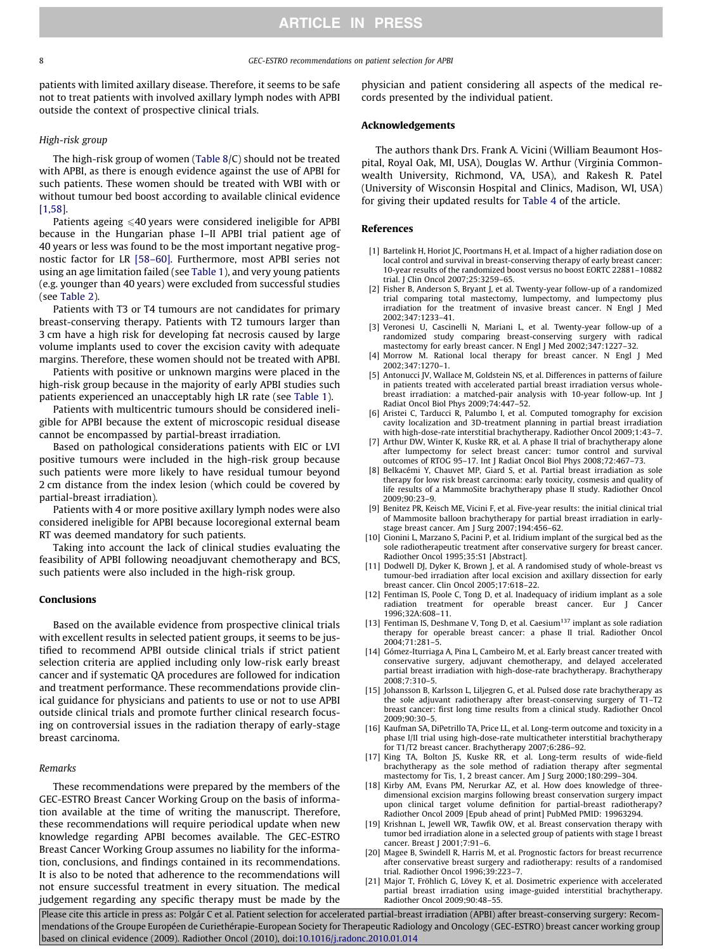<span id="page-7-0"></span>patients with limited axillary disease. Therefore, it seems to be safe not to treat patients with involved axillary lymph nodes with APBI outside the context of prospective clinical trials.

### High-risk group

The high-risk group of women [\(Table 8/](#page-6-0)C) should not be treated with APBI, as there is enough evidence against the use of APBI for such patients. These women should be treated with WBI with or without tumour bed boost according to available clinical evidence [1,58].

Patients ageing  $\leqslant$  40 years were considered ineligible for APBI because in the Hungarian phase I–II APBI trial patient age of 40 years or less was found to be the most important negative prognostic factor for LR [\[58–60\]](#page-8-0). Furthermore, most APBI series not using an age limitation failed (see [Table 1\)](#page-1-0), and very young patients (e.g. younger than 40 years) were excluded from successful studies (see [Table 2](#page-2-0)).

Patients with T3 or T4 tumours are not candidates for primary breast-conserving therapy. Patients with T2 tumours larger than 3 cm have a high risk for developing fat necrosis caused by large volume implants used to cover the excision cavity with adequate margins. Therefore, these women should not be treated with APBI.

Patients with positive or unknown margins were placed in the high-risk group because in the majority of early APBI studies such patients experienced an unacceptably high LR rate (see [Table 1](#page-1-0)).

Patients with multicentric tumours should be considered ineligible for APBI because the extent of microscopic residual disease cannot be encompassed by partial-breast irradiation.

Based on pathological considerations patients with EIC or LVI positive tumours were included in the high-risk group because such patients were more likely to have residual tumour beyond 2 cm distance from the index lesion (which could be covered by partial-breast irradiation).

Patients with 4 or more positive axillary lymph nodes were also considered ineligible for APBI because locoregional external beam RT was deemed mandatory for such patients.

Taking into account the lack of clinical studies evaluating the feasibility of APBI following neoadjuvant chemotherapy and BCS, such patients were also included in the high-risk group.

#### Conclusions

Based on the available evidence from prospective clinical trials with excellent results in selected patient groups, it seems to be justified to recommend APBI outside clinical trials if strict patient selection criteria are applied including only low-risk early breast cancer and if systematic QA procedures are followed for indication and treatment performance. These recommendations provide clinical guidance for physicians and patients to use or not to use APBI outside clinical trials and promote further clinical research focusing on controversial issues in the radiation therapy of early-stage breast carcinoma.

#### Remarks

These recommendations were prepared by the members of the GEC-ESTRO Breast Cancer Working Group on the basis of information available at the time of writing the manuscript. Therefore, these recommendations will require periodical update when new knowledge regarding APBI becomes available. The GEC-ESTRO Breast Cancer Working Group assumes no liability for the information, conclusions, and findings contained in its recommendations. It is also to be noted that adherence to the recommendations will not ensure successful treatment in every situation. The medical judgement regarding any specific therapy must be made by the

physician and patient considering all aspects of the medical records presented by the individual patient.

#### Acknowledgements

The authors thank Drs. Frank A. Vicini (William Beaumont Hospital, Royal Oak, MI, USA), Douglas W. Arthur (Virginia Commonwealth University, Richmond, VA, USA), and Rakesh R. Patel (University of Wisconsin Hospital and Clinics, Madison, WI, USA) for giving their updated results for [Table 4](#page-3-0) of the article.

#### References

- [1] Bartelink H, Horiot JC, Poortmans H, et al. Impact of a higher radiation dose on local control and survival in breast-conserving therapy of early breast cancer: 10-year results of the randomized boost versus no boost EORTC 22881–10882 trial. J Clin Oncol 2007;25:3259–65.
- [2] Fisher B, Anderson S, Bryant J, et al. Twenty-year follow-up of a randomized trial comparing total mastectomy, lumpectomy, and lumpectomy plus irradiation for the treatment of invasive breast cancer. N Engl J Med 2002;347:1233–41.
- [3] Veronesi U, Cascinelli N, Mariani L, et al. Twenty-year follow-up of a randomized study comparing breast-conserving surgery with radical mastectomy for early breast cancer. N Engl J Med 2002;347:1227–32.
- [4] Morrow M. Rational local therapy for breast cancer. N Engl J Med 2002;347:1270–1.
- [5] Antonucci JV, Wallace M, Goldstein NS, et al. Differences in patterns of failure in patients treated with accelerated partial breast irradiation versus wholebreast irradiation: a matched-pair analysis with 10-year follow-up. Int J Radiat Oncol Biol Phys 2009;74:447–52.
- [6] Aristei C, Tarducci R, Palumbo I, et al. Computed tomography for excision cavity localization and 3D-treatment planning in partial breast irradiation with high-dose-rate interstitial brachytherapy. Radiother Oncol 2009;1:43–7.
- [7] Arthur DW, Winter K, Kuske RR, et al. A phase II trial of brachytherapy alone after lumpectomy for select breast cancer: tumor control and survival outcomes of RTOG 95–17. Int J Radiat Oncol Biol Phys 2008;72:467–73.
- [8] Belkacémi Y, Chauvet MP, Giard S, et al. Partial breast irradiation as sole therapy for low risk breast carcinoma: early toxicity, cosmesis and quality of life results of a MammoSite brachytherapy phase II study. Radiother Oncol 2009;90:23–9.
- [9] Benitez PR, Keisch ME, Vicini F, et al. Five-year results: the initial clinical trial of Mammosite balloon brachytherapy for partial breast irradiation in earlystage breast cancer. Am J Surg 2007;194:456–62.
- [10] Cionini L, Marzano S, Pacini P, et al. Iridium implant of the surgical bed as the sole radiotherapeutic treatment after conservative surgery for breast cancer. Radiother Oncol 1995;35:S1 [Abstract].
- [11] Dodwell DJ, Dyker K, Brown J, et al. A randomised study of whole-breast vs tumour-bed irradiation after local excision and axillary dissection for early breast cancer. Clin Oncol 2005;17:618–22.
- [12] Fentiman IS, Poole C, Tong D, et al. Inadequacy of iridium implant as a sole radiation treatment for operable breast cancer. Eur J Cancer 1996;32A:608–11.
- [13] Fentiman IS, Deshmane V, Tong D, et al. Caesium<sup>137</sup> implant as sole radiation therapy for operable breast cancer: a phase II trial. Radiother Oncol 2004;71:281–5.
- [14] Gómez-Iturriaga A, Pina L, Cambeiro M, et al. Early breast cancer treated with conservative surgery, adjuvant chemotherapy, and delayed accelerated partial breast irradiation with high-dose-rate brachytherapy. Brachytherapy 2008;7:310–5.
- [15] Johansson B, Karlsson L, Liljegren G, et al. Pulsed dose rate brachytherapy as the sole adjuvant radiotherapy after breast-conserving surgery of T1–T2 breast cancer: first long time results from a clinical study. Radiother Oncol 2009;90:30–5.
- [16] Kaufman SA, DiPetrillo TA, Price LL, et al. Long-term outcome and toxicity in a phase I/II trial using high-dose-rate multicatheter interstitial brachytherapy for T1/T2 breast cancer. Brachytherapy 2007;6:286–92.
- [17] King TA, Bolton JS, Kuske RR, et al. Long-term results of wide-field brachytherapy as the sole method of radiation therapy after segmental mastectomy for Tis, 1, 2 breast cancer. Am J Surg 2000;180:299–304.
- [18] Kirby AM, Evans PM, Nerurkar AZ, et al. How does knowledge of threedimensional excision margins following breast conservation surgery impact upon clinical target volume definition for partial-breast radiotherapy? Radiother Oncol 2009 [Epub ahead of print] PubMed PMID: 19963294.
- [19] Krishnan L, Jewell WR, Tawfik OW, et al. Breast conservation therapy with tumor bed irradiation alone in a selected group of patients with stage I breast cancer. Breast J 2001;7:91–6.
- [20] Magee B, Swindell R, Harris M, et al. Prognostic factors for breast recurrence after conservative breast surgery and radiotherapy: results of a randomised trial. Radiother Oncol 1996;39:223–7.
- [21] Major T, Fröhlich G, Lövey K, et al. Dosimetric experience with accelerated partial breast irradiation using image-guided interstitial brachytherapy. Radiother Oncol 2009;90:48–55.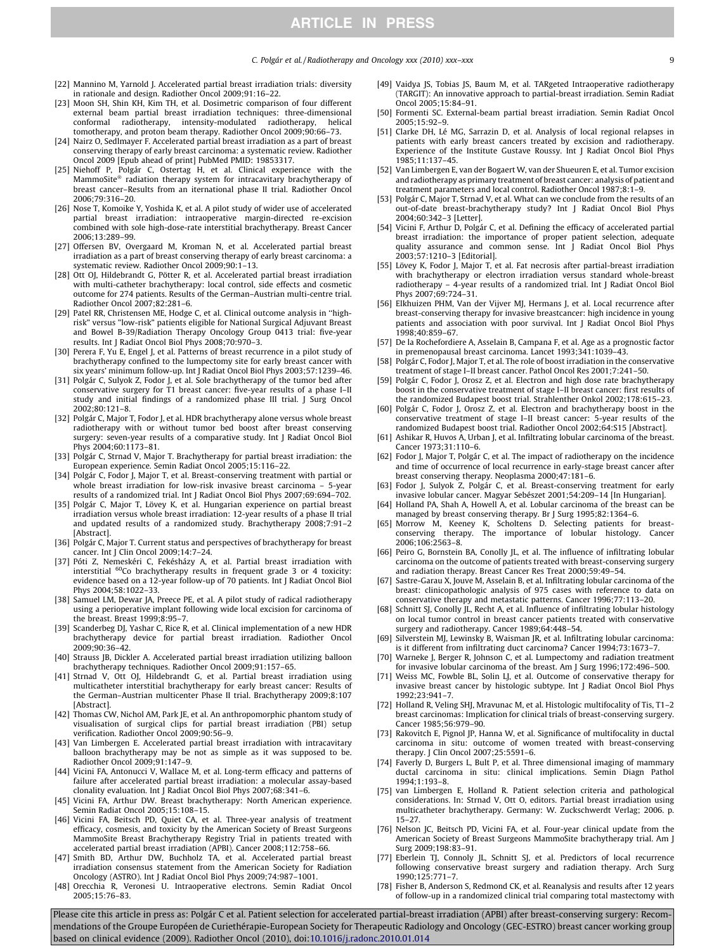- <span id="page-8-0"></span>[22] Mannino M, Yarnold J. Accelerated partial breast irradiation trials: diversity in rationale and design. Radiother Oncol 2009;91:16–22.
- [23] Moon SH, Shin KH, Kim TH, et al. Dosimetric comparison of four different external beam partial breast irradiation techniques: three-dimensional conformal radiotherapy, intensity-modulated radiotherapy, helical tomotherapy, and proton beam therapy. Radiother Oncol 2009;90:66–73.
- [24] Nairz O, Sedlmayer F. Accelerated partial breast irradiation as a part of breast conserving therapy of early breast carcinoma: a systematic review. Radiother Oncol 2009 [Epub ahead of print] PubMed PMID: 19853317.
- [25] Niehoff P, Polgár C, Ostertag H, et al. Clinical experience with the MammoSite<sup>®</sup> radiation therapy system for intracavitary brachytherapy of breast cancer–Results from an iternational phase II trial. Radiother Oncol 2006;79:316–20.
- [26] Nose T, Komoike Y, Yoshida K, et al. A pilot study of wider use of accelerated partial breast irradiation: intraoperative margin-directed re-excision combined with sole high-dose-rate interstitial brachytherapy. Breast Cancer 2006;13:289–99.
- [27] Offersen BV, Overgaard M, Kroman N, et al. Accelerated partial breast irradiation as a part of breast conserving therapy of early breast carcinoma: a systematic review. Radiother Oncol 2009;90:1–13.
- [28] Ott OJ, Hildebrandt G, Pötter R, et al. Accelerated partial breast irradiation with multi-catheter brachytherapy: local control, side effects and cosmetic outcome for 274 patients. Results of the German–Austrian multi-centre trial. Radiother Oncol 2007;82:281–6.
- [29] Patel RR, Christensen ME, Hodge C, et al. Clinical outcome analysis in ''highrisk" versus "low-risk" patients eligible for National Surgical Adjuvant Breast and Bowel B-39/Radiation Therapy Oncology Group 0413 trial: five-year results. Int J Radiat Oncol Biol Phys 2008;70:970–3.
- [30] Perera F, Yu E, Engel J, et al. Patterns of breast recurrence in a pilot study of brachytherapy confined to the lumpectomy site for early breast cancer with six years' minimum follow-up. Int J Radiat Oncol Biol Phys 2003;57:1239–46.
- [31] Polgár C, Sulyok Z, Fodor J, et al. Sole brachytherapy of the tumor bed after conservative surgery for T1 breast cancer: five-year results of a phase I–II study and initial findings of a randomized phase III trial. J Surg Oncol 2002;80:121–8.
- [32] Polgár C, Major T, Fodor J, et al. HDR brachytherapy alone versus whole breast radiotherapy with or without tumor bed boost after breast conserving surgery: seven-year results of a comparative study. Int J Radiat Oncol Biol Phys 2004;60:1173–81.
- [33] Polgár C, Strnad V, Major T. Brachytherapy for partial breast irradiation: the European experience. Semin Radiat Oncol 2005;15:116–22.
- [34] Polgár C, Fodor J, Major T, et al. Breast-conserving treatment with partial or whole breast irradiation for low-risk invasive breast carcinoma - 5-year results of a randomized trial. Int J Radiat Oncol Biol Phys 2007;69:694–702.
- [35] Polgár C, Major T, Lövey K, et al. Hungarian experience on partial breast irradiation versus whole breast irradiation: 12-year results of a phase II trial and updated results of a randomized study. Brachytherapy 2008;7:91–2 [Abstract].
- [36] Polgár C, Major T. Current status and perspectives of brachytherapy for breast cancer. Int J Clin Oncol 2009;14:7–24.
- [37] Póti Z, Nemeskéri C, Fekésházy A, et al. Partial breast irradiation with interstitial <sup>60</sup>Co brachytherapy results in frequent grade 3 or 4 toxicity: evidence based on a 12-year follow-up of 70 patients. Int J Radiat Oncol Biol Phys 2004;58:1022–33.
- [38] Samuel LM, Dewar JA, Preece PE, et al. A pilot study of radical radiotherapy using a perioperative implant following wide local excision for carcinoma of the breast. Breast 1999;8:95–7.
- [39] Scanderbeg DJ, Yashar C, Rice R, et al. Clinical implementation of a new HDR brachytherapy device for partial breast irradiation. Radiother Oncol 2009;90:36–42.
- [40] Strauss JB, Dickler A. Accelerated partial breast irradiation utilizing balloon brachytherapy techniques. Radiother Oncol 2009;91:157–65.
- [41] Strnad V, Ott OJ, Hildebrandt G, et al. Partial breast irradiation using multicatheter interstitial brachytherapy for early breast cancer: Results of the German–Austrian multicenter Phase II trial. Brachytherapy 2009;8:107 [Abstract].
- [42] Thomas CW, Nichol AM, Park JE, et al. An anthropomorphic phantom study of visualisation of surgical clips for partial breast irradiation (PBI) setup verification. Radiother Oncol 2009;90:56–9.
- [43] Van Limbergen E. Accelerated partial breast irradiation with intracavitary balloon brachytherapy may be not as simple as it was supposed to be. Radiother Oncol 2009;91:147–9.
- [44] Vicini FA, Antonucci V, Wallace M, et al. Long-term efficacy and patterns of failure after accelerated partial breast irradiation: a molecular assay-based clonality evaluation. Int J Radiat Oncol Biol Phys 2007;68:341–6.
- [45] Vicini FA, Arthur DW. Breast brachytherapy: North American experience. Semin Radiat Oncol 2005;15:108–15.
- [46] Vicini FA, Beitsch PD, Quiet CA, et al. Three-year analysis of treatment efficacy, cosmesis, and toxicity by the American Society of Breast Surgeons MammoSite Breast Brachytherapy Registry Trial in patients treated with accelerated partial breast irradiation (APBI). Cancer 2008;112:758–66.
- [47] Smith BD, Arthur DW, Buchholz TA, et al. Accelerated partial breast irradiation consensus statement from the American Society for Radiation Oncology (ASTRO). Int J Radiat Oncol Biol Phys 2009;74:987–1001.
- [48] Orecchia R, Veronesi U. Intraoperative electrons. Semin Radiat Oncol 2005;15:76–83.
- [49] Vaidya JS, Tobias JS, Baum M, et al. TARgeted Intraoperative radiotherapy (TARGIT): An innovative approach to partial-breast irradiation. Semin Radiat Oncol 2005;15:84–91.
- [50] Formenti SC. External-beam partial breast irradiation. Semin Radiat Oncol 2005;15:92–9.
- [51] Clarke DH, Lé MG, Sarrazin D, et al. Analysis of local regional relapses in patients with early breast cancers treated by excision and radiotherapy. Experience of the Institute Gustave Roussy. Int J Radiat Oncol Biol Phys 1985;11:137–45.
- [52] Van Limbergen E, van der Bogaert W, van der Shueuren E, et al. Tumor excision and radiotherapy as primary treatment of breast cancer: analysis of patient and treatment parameters and local control. Radiother Oncol 1987;8:1–9.
- [53] Polgár C, Major T, Strnad V, et al. What can we conclude from the results of an out-of-date breast-brachytherapy study? Int J Radiat Oncol Biol Phys 2004;60:342–3 [Letter].
- [54] Vicini F, Arthur D, Polgár C, et al. Defining the efficacy of accelerated partial breast irradiation: the importance of proper patient selection, adequate quality assurance and common sense. Int J Radiat Oncol Biol Phys 2003;57:1210–3 [Editorial].
- [55] Lövey K, Fodor J, Major T, et al. Fat necrosis after partial-breast irradiation with brachytherapy or electron irradiation versus standard whole-breast radiotherapy – 4-year results of a randomized trial. Int J Radiat Oncol Biol Phys 2007;69:724-31.
- [56] Elkhuizen PHM, Van der Vijver MJ, Hermans J, et al. Local recurrence after breast-conserving therapy for invasive breastcancer: high incidence in young patients and association with poor survival. Int J Radiat Oncol Biol Phys .<br>1998;40:859–67.
- [57] De la Rochefordiere A, Asselain B, Campana F, et al. Age as a prognostic factor in premenopausal breast carcinoma. Lancet 1993;341:1039–43.
- [58] Polgár C, Fodor J, Major T, et al. The role of boost irradiation in the conservative treatment of stage I–II breast cancer. Pathol Oncol Res 2001;7:241–50.
- [59] Polgár C, Fodor J, Orosz Z, et al. Electron and high dose rate brachytherapy boost in the conservative treatment of stage I–II breast cancer: first results of the randomized Budapest boost trial. Strahlenther Onkol 2002;178:615–23.
- [60] Polgár C, Fodor J, Orosz Z, et al. Electron and brachytherapy boost in the conservative treatment of stage I–II breast cancer: 5-year results of the randomized Budapest boost trial. Radiother Oncol 2002;64:S15 [Abstract].
- [61] Ashikar R, Huvos A, Urban J, et al. Infiltrating lobular carcinoma of the breast. Cancer 1973;31:110–6.
- [62] Fodor J, Major T, Polgár C, et al. The impact of radiotherapy on the incidence and time of occurrence of local recurrence in early-stage breast cancer after breast conserving therapy. Neoplasma 2000;47:181–6.
- [63] Fodor J, Sulyok Z, Polgár C, et al. Breast-conserving treatment for early invasive lobular cancer. Magyar Sebészet 2001;54:209–14 [In Hungarian].
- [64] Holland PA, Shah A, Howell A, et al. Lobular carcinoma of the breast can be managed by breast conserving therapy. Br J Surg 1995;82:1364–6. [65] Morrow M, Keeney K, Scholtens D. Selecting patients for breast-
- conserving therapy. The importance of lobular histology. Cancer 2006;106:2563–8.
- [66] Peiro G, Bornstein BA, Conolly JL, et al. The influence of infiltrating lobular carcinoma on the outcome of patients treated with breast-conserving surgery and radiation therapy. Breast Cancer Res Treat 2000;59:49–54.
- [67] Sastre-Garau X, Jouve M, Asselain B, et al. Infiltrating lobular carcinoma of the breast: clinicopathologic analysis of 975 cases with reference to data on conservative therapy and metastatic patterns. Cancer 1996;77:113–20.
- [68] Schnitt SJ, Conolly JL, Recht A, et al. Influence of infiltrating lobular histology on local tumor control in breast cancer patients treated with conservative surgery and radiotherapy. Cancer 1989;64:448–54.
- [69] Silverstein MJ, Lewinsky B, Waisman JR, et al. Infiltrating lobular carcinoma: is it different from infiltrating duct carcinoma? Cancer 1994;73:1673–7.
- [70] Warneke J, Berger R, Johnson C, et al. Lumpectomy and radiation treatment for invasive lobular carcinoma of the breast. Am J Surg 1996;172:496–500.
- [71] Weiss MC, Fowble BL, Solin LJ, et al. Outcome of conservative therapy for invasive breast cancer by histologic subtype. Int J Radiat Oncol Biol Phys 1992;23:941–7.
- [72] Holland R, Veling SHJ, Mravunac M, et al. Histologic multifocality of Tis, T1–2 breast carcinomas: Implication for clinical trials of breast-conserving surgery. Cancer 1985;56:979–90.
- [73] Rakovitch E, Pignol JP, Hanna W, et al. Significance of multifocality in ductal carcinoma in situ: outcome of women treated with breast-conserving therapy. J Clin Oncol 2007;25:5591–6.
- [74] Faverly D, Burgers L, Bult P, et al. Three dimensional imaging of mammary ductal carcinoma in situ: clinical implications. Semin Diagn Pathol 1994;1:193–8.
- [75] van Limbergen E, Holland R. Patient selection criteria and pathological considerations. In: Strnad V, Ott O, editors. Partial breast irradiation using multicatheter brachytherapy. Germany: W. Zuckschwerdt Verlag; 2006. p. 15–27.
- [76] Nelson JC, Beitsch PD, Vicini FA, et al. Four-year clinical update from the American Society of Breast Surgeons MammoSite brachytherapy trial. Am J Surg 2009;198:83–91.
- [77] Eberlein TJ, Connoly JL, Schnitt SJ, et al. Predictors of local recurrence following conservative breast surgery and radiation therapy. Arch Surg 1990;125:771–7.
- [78] Fisher B, Anderson S, Redmond CK, et al. Reanalysis and results after 12 years of follow-up in a randomized clinical trial comparing total mastectomy with